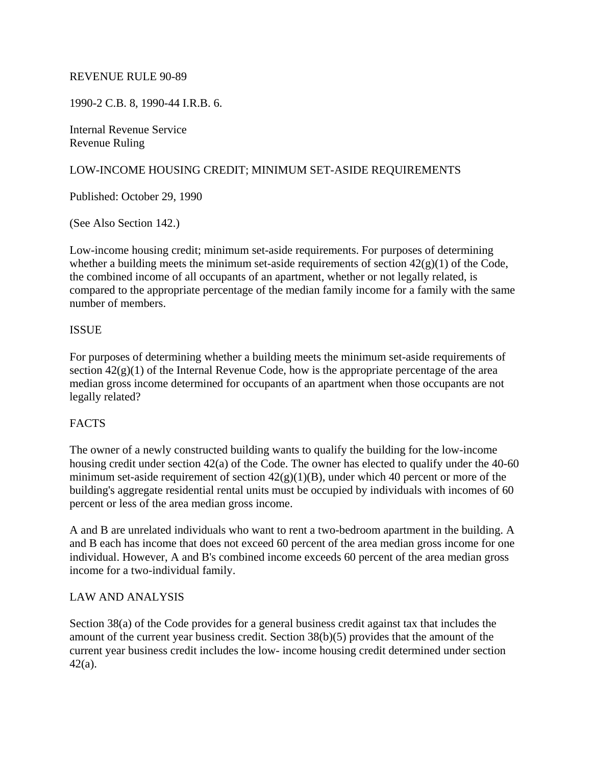### REVENUE RULE 90-89

1990-2 C.B. 8, 1990-44 I.R.B. 6.

Internal Revenue Service Revenue Ruling

# LOW-INCOME HOUSING CREDIT; MINIMUM SET-ASIDE REQUIREMENTS

Published: October 29, 1990

(See Also Section 142.)

Low-income housing credit; minimum set-aside requirements. For purposes of determining whether a building meets the minimum set-aside requirements of section  $42(g)(1)$  of the Code, the combined income of all occupants of an apartment, whether or not legally related, is compared to the appropriate percentage of the median family income for a family with the same number of members.

### **ISSUE**

For purposes of determining whether a building meets the minimum set-aside requirements of section  $42(g)(1)$  of the Internal Revenue Code, how is the appropriate percentage of the area median gross income determined for occupants of an apartment when those occupants are not legally related?

#### **FACTS**

The owner of a newly constructed building wants to qualify the building for the low-income housing credit under section 42(a) of the Code. The owner has elected to qualify under the 40-60 minimum set-aside requirement of section  $42(g)(1)(B)$ , under which 40 percent or more of the building's aggregate residential rental units must be occupied by individuals with incomes of 60 percent or less of the area median gross income.

A and B are unrelated individuals who want to rent a two-bedroom apartment in the building. A and B each has income that does not exceed 60 percent of the area median gross income for one individual. However, A and B's combined income exceeds 60 percent of the area median gross income for a two-individual family.

#### LAW AND ANALYSIS

Section 38(a) of the Code provides for a general business credit against tax that includes the amount of the current year business credit. Section 38(b)(5) provides that the amount of the current year business credit includes the low- income housing credit determined under section 42(a).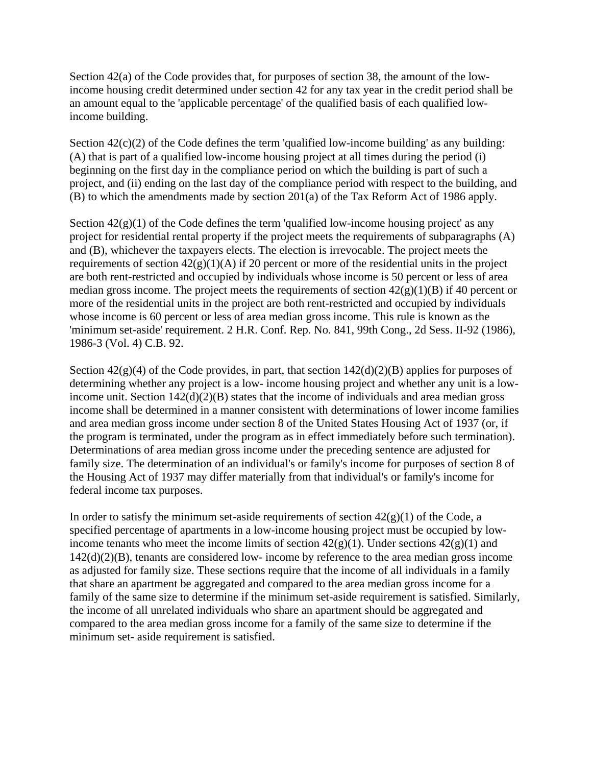Section 42(a) of the Code provides that, for purposes of section 38, the amount of the lowincome housing credit determined under section 42 for any tax year in the credit period shall be an amount equal to the 'applicable percentage' of the qualified basis of each qualified lowincome building.

Section  $42(c)(2)$  of the Code defines the term 'qualified low-income building' as any building: (A) that is part of a qualified low-income housing project at all times during the period (i) beginning on the first day in the compliance period on which the building is part of such a project, and (ii) ending on the last day of the compliance period with respect to the building, and (B) to which the amendments made by section 201(a) of the Tax Reform Act of 1986 apply.

Section  $42(g)(1)$  of the Code defines the term 'qualified low-income housing project' as any project for residential rental property if the project meets the requirements of subparagraphs (A) and (B), whichever the taxpayers elects. The election is irrevocable. The project meets the requirements of section  $42(g)(1)(A)$  if 20 percent or more of the residential units in the project are both rent-restricted and occupied by individuals whose income is 50 percent or less of area median gross income. The project meets the requirements of section  $42(g)(1)(B)$  if 40 percent or more of the residential units in the project are both rent-restricted and occupied by individuals whose income is 60 percent or less of area median gross income. This rule is known as the 'minimum set-aside' requirement. 2 H.R. Conf. Rep. No. 841, 99th Cong., 2d Sess. II-92 (1986), 1986-3 (Vol. 4) C.B. 92.

Section  $42(g)(4)$  of the Code provides, in part, that section  $142(d)(2)(B)$  applies for purposes of determining whether any project is a low- income housing project and whether any unit is a lowincome unit. Section 142(d)(2)(B) states that the income of individuals and area median gross income shall be determined in a manner consistent with determinations of lower income families and area median gross income under section 8 of the United States Housing Act of 1937 (or, if the program is terminated, under the program as in effect immediately before such termination). Determinations of area median gross income under the preceding sentence are adjusted for family size. The determination of an individual's or family's income for purposes of section 8 of the Housing Act of 1937 may differ materially from that individual's or family's income for federal income tax purposes.

In order to satisfy the minimum set-aside requirements of section  $42(g)(1)$  of the Code, a specified percentage of apartments in a low-income housing project must be occupied by lowincome tenants who meet the income limits of section  $42(g)(1)$ . Under sections  $42(g)(1)$  and 142(d)(2)(B), tenants are considered low- income by reference to the area median gross income as adjusted for family size. These sections require that the income of all individuals in a family that share an apartment be aggregated and compared to the area median gross income for a family of the same size to determine if the minimum set-aside requirement is satisfied. Similarly, the income of all unrelated individuals who share an apartment should be aggregated and compared to the area median gross income for a family of the same size to determine if the minimum set- aside requirement is satisfied.